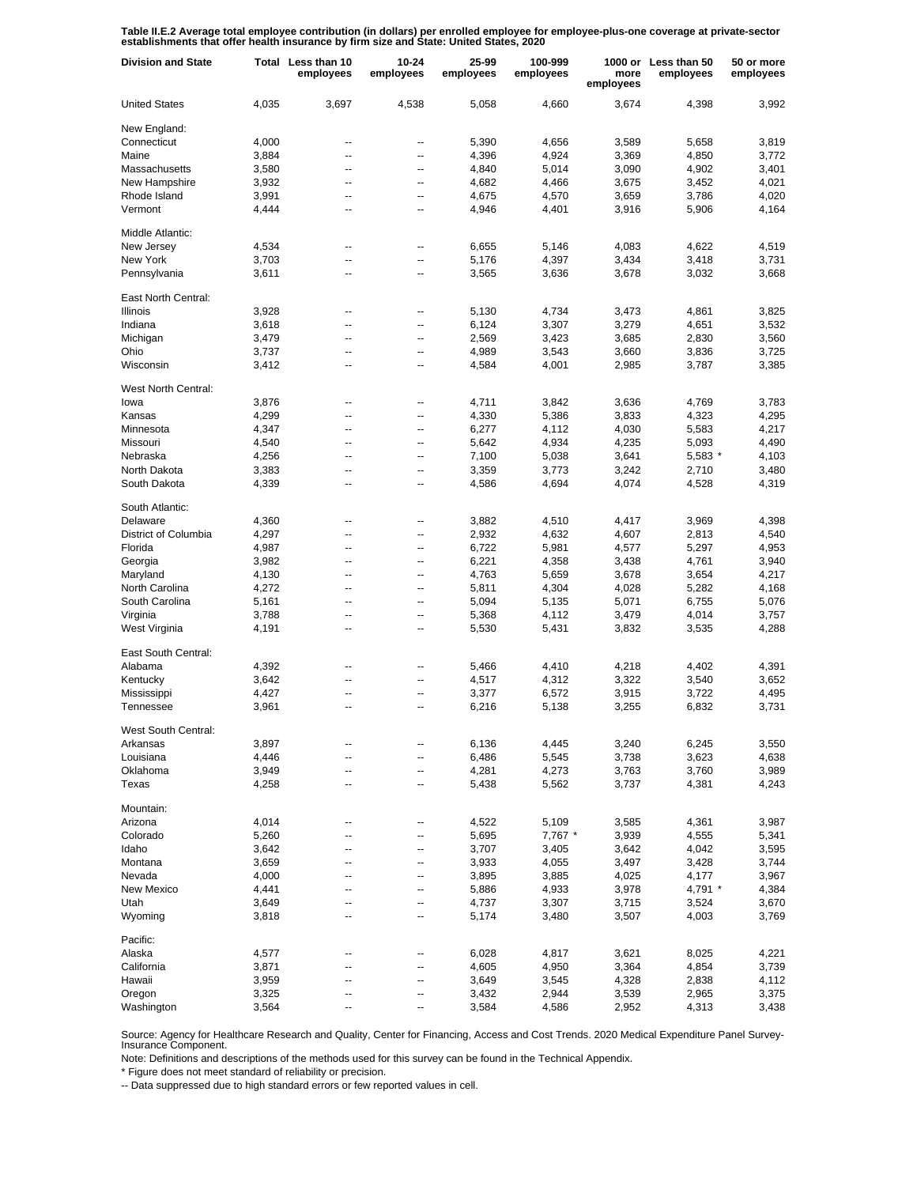Table II.E.2 Average total employee contribution (in dollars) per enrolled employee for employee-plus-one coverage at private-sector<br>establishments that offer health insurance by firm size and State: United States, 2020

| <b>Division and State</b> |       | Total Less than 10<br>employees | $10 - 24$<br>employees | 25-99<br>employees | 100-999<br>employees | more<br>employees | 1000 or Less than 50<br>employees | 50 or more<br>employees |
|---------------------------|-------|---------------------------------|------------------------|--------------------|----------------------|-------------------|-----------------------------------|-------------------------|
| <b>United States</b>      | 4,035 | 3,697                           | 4,538                  | 5,058              | 4,660                | 3,674             | 4,398                             | 3,992                   |
| New England:              |       |                                 |                        |                    |                      |                   |                                   |                         |
| Connecticut               | 4,000 | --                              | --                     | 5,390              | 4,656                | 3,589             | 5,658                             | 3,819                   |
| Maine                     | 3,884 | --                              | --                     | 4,396              | 4,924                | 3,369             | 4,850                             | 3,772                   |
| Massachusetts             | 3,580 | --                              | --                     | 4,840              | 5,014                | 3,090             | 4,902                             | 3,401                   |
| New Hampshire             | 3,932 | --                              | --                     | 4,682              | 4,466                | 3,675             | 3,452                             | 4,021                   |
| Rhode Island              | 3,991 | --                              | --                     | 4,675              | 4,570                |                   | 3,786                             | 4,020                   |
| Vermont                   | 4,444 | --                              | --                     | 4,946              | 4,401                | 3,659<br>3,916    | 5,906                             | 4,164                   |
| Middle Atlantic:          |       |                                 |                        |                    |                      |                   |                                   |                         |
| New Jersey                | 4,534 | --                              | --                     | 6,655              | 5,146                | 4,083             | 4,622                             | 4,519                   |
| New York                  | 3,703 | --                              | --                     | 5,176              | 4,397                | 3,434             | 3,418                             | 3,731                   |
| Pennsylvania              | 3,611 | --                              | --                     | 3,565              | 3,636                | 3,678             | 3,032                             | 3,668                   |
| East North Central:       |       |                                 |                        |                    |                      |                   |                                   |                         |
| Illinois                  | 3,928 | ۰.                              | --                     | 5,130              | 4,734                | 3,473             | 4,861                             | 3,825                   |
| Indiana                   | 3,618 | ۰.                              | --                     | 6,124              | 3,307                | 3,279             | 4,651                             | 3,532                   |
| Michigan                  | 3,479 | --                              | --                     | 2,569              | 3,423                | 3,685             | 2,830                             | 3,560                   |
| Ohio                      | 3,737 | ۰.                              | --                     | 4,989              | 3,543                | 3,660             | 3,836                             | 3,725                   |
|                           |       | Ξ.                              | --                     |                    |                      | 2,985             |                                   |                         |
| Wisconsin                 | 3,412 |                                 |                        | 4,584              | 4,001                |                   | 3,787                             | 3,385                   |
| West North Central:       |       |                                 |                        |                    |                      |                   |                                   |                         |
| lowa                      | 3,876 | --                              | --                     | 4,711              | 3,842                | 3,636             | 4,769                             | 3,783                   |
| Kansas                    | 4,299 | --                              | --                     | 4,330              | 5,386                | 3,833             | 4,323                             | 4,295                   |
| Minnesota                 | 4,347 | --                              | --                     | 6,277              | 4,112                | 4,030             | 5,583                             | 4,217                   |
| Missouri                  | 4,540 | --                              | --                     | 5,642              | 4,934                | 4,235             | 5,093                             | 4,490                   |
| Nebraska                  | 4,256 | --                              | --                     | 7,100              | 5,038                | 3,641             | 5,583 *                           | 4,103                   |
| North Dakota              | 3,383 | --                              | --                     | 3,359              | 3,773                | 3,242             | 2,710                             | 3,480                   |
| South Dakota              | 4,339 | --                              | --                     | 4,586              | 4,694                | 4,074             | 4,528                             | 4,319                   |
| South Atlantic:           |       |                                 |                        |                    |                      |                   |                                   |                         |
| Delaware                  | 4,360 | --                              | --                     | 3,882              | 4,510                | 4,417             | 3,969                             | 4,398                   |
| District of Columbia      | 4,297 | --                              | --                     | 2,932              | 4,632                | 4,607             | 2,813                             | 4,540                   |
| Florida                   | 4,987 | --                              | --                     | 6,722              | 5,981                | 4,577             | 5,297                             | 4,953                   |
| Georgia                   | 3,982 | --                              | --                     | 6,221              | 4,358                | 3,438             | 4,761                             | 3,940                   |
|                           |       |                                 |                        |                    |                      |                   |                                   |                         |
| Maryland                  | 4,130 | --                              | --                     | 4,763              | 5,659                | 3,678             | 3,654                             | 4,217                   |
| North Carolina            | 4,272 | --                              | --                     | 5,811              | 4,304                | 4,028             | 5,282                             | 4,168                   |
| South Carolina            | 5,161 | --                              | --                     | 5,094              | 5,135                | 5,071             | 6,755                             | 5,076                   |
| Virginia                  | 3,788 | --                              | --                     | 5,368              | 4,112                | 3,479             | 4,014                             | 3,757                   |
| West Virginia             | 4,191 | --                              | --                     | 5,530              | 5,431                | 3,832             | 3,535                             | 4,288                   |
| East South Central:       |       |                                 |                        |                    |                      |                   |                                   |                         |
| Alabama                   | 4,392 | --                              | --                     | 5,466              | 4,410                | 4,218             | 4,402                             | 4,391                   |
| Kentucky                  | 3,642 | Ξ.                              | --                     | 4,517              | 4,312                | 3,322             | 3,540                             | 3,652                   |
| Mississippi               | 4,427 | --                              | --                     | 3,377              | 6,572                | 3,915             | 3,722                             | 4,495                   |
| Tennessee                 | 3,961 | Ξ.                              | --                     | 6,216              | 5,138                | 3,255             | 6,832                             | 3,731                   |
| West South Central:       |       |                                 |                        |                    |                      |                   |                                   |                         |
| Arkansas                  | 3,897 |                                 |                        | 6,136              | 4,445                | 3,240             | 6,245                             | 3,550                   |
| Louisiana                 | 4,446 | --                              | --                     | 6,486              | 5,545                | 3,738             | 3,623                             | 4,638                   |
| Oklahoma                  | 3,949 |                                 | --                     | 4,281              | 4,273                | 3,763             | 3,760                             | 3,989                   |
| Texas                     | 4,258 | --                              | --                     | 5,438              | 5,562                | 3,737             | 4,381                             | 4,243                   |
| Mountain:                 |       |                                 |                        |                    |                      |                   |                                   |                         |
| Arizona                   | 4,014 | ۰.                              | --                     | 4,522              | 5,109                | 3,585             | 4,361                             | 3,987                   |
| Colorado                  | 5,260 | --                              | --                     | 5,695              | 7,767 *              | 3,939             | 4,555                             | 5,341                   |
| Idaho                     | 3,642 | --                              | --                     | 3,707              | 3,405                | 3,642             | 4,042                             | 3,595                   |
|                           |       |                                 |                        |                    |                      |                   |                                   |                         |
| Montana                   | 3,659 | --                              | --                     | 3,933              | 4,055                | 3,497             | 3,428                             | 3,744                   |
| Nevada                    | 4,000 | --                              | --                     | 3,895              | 3,885                | 4,025             | 4,177                             | 3,967                   |
| <b>New Mexico</b>         | 4,441 | --                              | --                     | 5,886              | 4,933                | 3,978             | 4,791 *                           | 4,384                   |
| Utah                      | 3,649 | --                              | --                     | 4,737              | 3,307                | 3,715             | 3,524                             | 3,670                   |
| Wyoming                   | 3,818 | --                              | --                     | 5,174              | 3,480                | 3,507             | 4,003                             | 3,769                   |
| Pacific:                  |       |                                 |                        |                    |                      |                   |                                   |                         |
| Alaska                    | 4,577 | --                              | --                     | 6,028              | 4,817                | 3,621             | 8,025                             | 4,221                   |
| California                | 3,871 | Ξ.                              | --                     | 4,605              | 4,950                | 3,364             | 4,854                             | 3,739                   |
| Hawaii                    | 3,959 | ۰.                              | --                     | 3,649              | 3,545                | 4,328             | 2,838                             | 4,112                   |
| Oregon                    | 3,325 | Ξ.                              | --                     | 3,432              | 2,944                | 3,539             | 2,965                             | 3,375                   |
| Washington                | 3,564 |                                 |                        | 3,584              | 4,586                | 2,952             | 4,313                             | 3,438                   |

Source: Agency for Healthcare Research and Quality, Center for Financing, Access and Cost Trends. 2020 Medical Expenditure Panel Survey-Insurance Component.

Note: Definitions and descriptions of the methods used for this survey can be found in the Technical Appendix.

\* Figure does not meet standard of reliability or precision.

-- Data suppressed due to high standard errors or few reported values in cell.